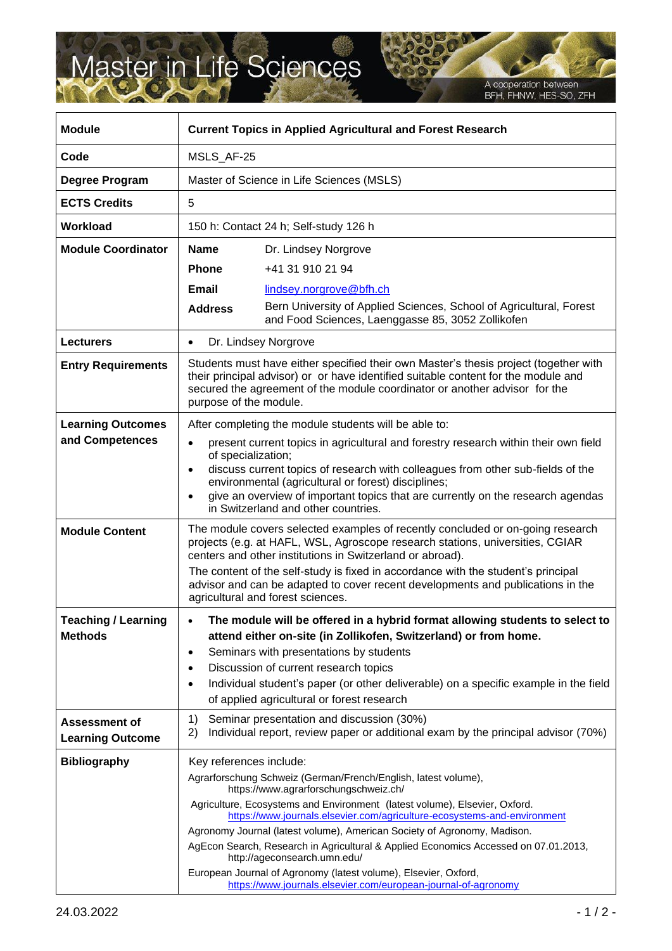## Master in Life Sciences

A cooperation between<br>BFH, FHNW, HES-SO, ZFH

| <b>Module</b>                                | <b>Current Topics in Applied Agricultural and Forest Research</b>                                                                                                                                                                                                                                                                                                                                    |                                                                                                                                                                                                           |
|----------------------------------------------|------------------------------------------------------------------------------------------------------------------------------------------------------------------------------------------------------------------------------------------------------------------------------------------------------------------------------------------------------------------------------------------------------|-----------------------------------------------------------------------------------------------------------------------------------------------------------------------------------------------------------|
| Code                                         | MSLS_AF-25                                                                                                                                                                                                                                                                                                                                                                                           |                                                                                                                                                                                                           |
| Degree Program                               | Master of Science in Life Sciences (MSLS)                                                                                                                                                                                                                                                                                                                                                            |                                                                                                                                                                                                           |
| <b>ECTS Credits</b>                          | 5                                                                                                                                                                                                                                                                                                                                                                                                    |                                                                                                                                                                                                           |
| <b>Workload</b>                              | 150 h: Contact 24 h; Self-study 126 h                                                                                                                                                                                                                                                                                                                                                                |                                                                                                                                                                                                           |
| <b>Module Coordinator</b>                    | <b>Name</b>                                                                                                                                                                                                                                                                                                                                                                                          | Dr. Lindsey Norgrove                                                                                                                                                                                      |
|                                              | <b>Phone</b>                                                                                                                                                                                                                                                                                                                                                                                         | +41 31 910 21 94                                                                                                                                                                                          |
|                                              | Email                                                                                                                                                                                                                                                                                                                                                                                                | lindsey.norgrove@bfh.ch                                                                                                                                                                                   |
|                                              | <b>Address</b>                                                                                                                                                                                                                                                                                                                                                                                       | Bern University of Applied Sciences, School of Agricultural, Forest<br>and Food Sciences, Laenggasse 85, 3052 Zollikofen                                                                                  |
| <b>Lecturers</b>                             | Dr. Lindsey Norgrove<br>$\bullet$                                                                                                                                                                                                                                                                                                                                                                    |                                                                                                                                                                                                           |
| <b>Entry Requirements</b>                    | Students must have either specified their own Master's thesis project (together with<br>their principal advisor) or or have identified suitable content for the module and<br>secured the agreement of the module coordinator or another advisor for the<br>purpose of the module.                                                                                                                   |                                                                                                                                                                                                           |
| <b>Learning Outcomes</b>                     | After completing the module students will be able to:                                                                                                                                                                                                                                                                                                                                                |                                                                                                                                                                                                           |
| and Competences                              | present current topics in agricultural and forestry research within their own field<br>of specialization;                                                                                                                                                                                                                                                                                            |                                                                                                                                                                                                           |
|                                              | discuss current topics of research with colleagues from other sub-fields of the<br>environmental (agricultural or forest) disciplines;<br>give an overview of important topics that are currently on the research agendas<br>in Switzerland and other countries.                                                                                                                                     |                                                                                                                                                                                                           |
| <b>Module Content</b>                        | The module covers selected examples of recently concluded or on-going research<br>projects (e.g. at HAFL, WSL, Agroscope research stations, universities, CGIAR<br>centers and other institutions in Switzerland or abroad).                                                                                                                                                                         |                                                                                                                                                                                                           |
|                                              |                                                                                                                                                                                                                                                                                                                                                                                                      | The content of the self-study is fixed in accordance with the student's principal<br>advisor and can be adapted to cover recent developments and publications in the<br>agricultural and forest sciences. |
| <b>Teaching / Learning</b><br><b>Methods</b> | The module will be offered in a hybrid format allowing students to select to<br>attend either on-site (in Zollikofen, Switzerland) or from home.<br>Seminars with presentations by students<br>Discussion of current research topics<br>$\bullet$<br>Individual student's paper (or other deliverable) on a specific example in the field<br>$\bullet$<br>of applied agricultural or forest research |                                                                                                                                                                                                           |
| Assessment of<br><b>Learning Outcome</b>     | 1)<br>2)                                                                                                                                                                                                                                                                                                                                                                                             | Seminar presentation and discussion (30%)<br>Individual report, review paper or additional exam by the principal advisor (70%)                                                                            |
| <b>Bibliography</b>                          | Key references include:                                                                                                                                                                                                                                                                                                                                                                              |                                                                                                                                                                                                           |
|                                              |                                                                                                                                                                                                                                                                                                                                                                                                      | Agrarforschung Schweiz (German/French/English, latest volume),<br>https://www.agrarforschungschweiz.ch/                                                                                                   |
|                                              |                                                                                                                                                                                                                                                                                                                                                                                                      | Agriculture, Ecosystems and Environment (latest volume), Elsevier, Oxford.<br>https://www.journals.elsevier.com/agriculture-ecosystems-and-environment                                                    |
|                                              |                                                                                                                                                                                                                                                                                                                                                                                                      | Agronomy Journal (latest volume), American Society of Agronomy, Madison.                                                                                                                                  |
|                                              |                                                                                                                                                                                                                                                                                                                                                                                                      | AgEcon Search, Research in Agricultural & Applied Economics Accessed on 07.01.2013,<br>http://ageconsearch.umn.edu/                                                                                       |
|                                              |                                                                                                                                                                                                                                                                                                                                                                                                      | European Journal of Agronomy (latest volume), Elsevier, Oxford,<br>https://www.journals.elsevier.com/european-journal-of-agronomy                                                                         |